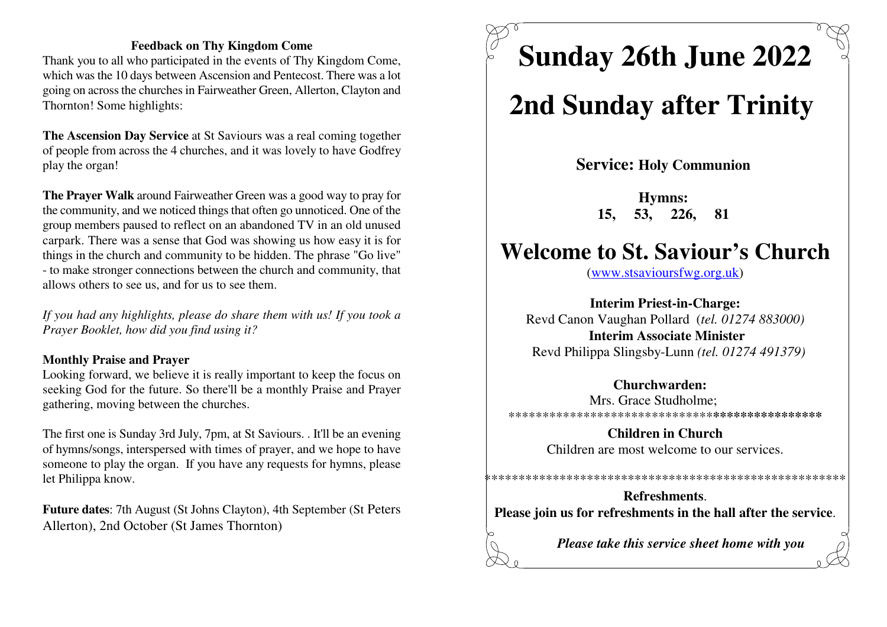#### **Feedback on Thy Kingdom Come**

 Thank you to all who participated in the events of Thy Kingdom Come, which was the 10 days between Ascension and Pentecost. There was a lot going on across the churches in Fairweather Green, Allerton, Clayton andThornton! Some highlights:

**The Ascension Day Service** at St Saviours was a real coming together of people from across the 4 churches, and it was lovely to have Godfreyplay the organ!

**The Prayer Walk** around Fairweather Green was a good way to pray for the community, and we noticed things that often go unnoticed. One of the group members paused to reflect on an abandoned TV in an old unused carpark. There was a sense that God was showing us how easy it is for things in the church and community to be hidden. The phrase "Go live"- to make stronger connections between the church and community, thatallows others to see us, and for us to see them.

*If you had any highlights, please do share them with us! If you took aPrayer Booklet, how did you find using it?*

#### **Monthly Praise and Prayer**

 Looking forward, we believe it is really important to keep the focus on seeking God for the future. So there'll be a monthly Praise and Prayergathering, moving between the churches.

The first one is Sunday 3rd July, 7pm, at St Saviours. . It'll be an evening of hymns/songs, interspersed with times of prayer, and we hope to have someone to play the organ. If you have any requests for hymns, pleaselet Philippa know.

**Future dates**: 7th August (St Johns Clayton), 4th September (St PetersAllerton), 2nd October (St James Thornton)

**Sunday 26th June 2022**

# **2nd Sunday after Trinity**

**Service: Holy Communion** 

**Hymns: 15, 53, 226, 81** 

## **Welcome to St. Saviour's Church**

(www.stsavioursfwg.org.uk)

**Interim Priest-in-Charge:** Revd Canon Vaughan Pollard (*tel. 01274 883000)***Interim Associate Minister**Revd Philippa Slingsby-Lunn *(tel. 01274 491379)*

#### **Churchwarden:**

 Mrs. Grace Studholme; \*\*\*\*\*\*\*\*\*\*\*\*\*\*\*\*\*\*\*\*\*\*\*\*\*\*\*\*\*\***\*\*\*\*\*\*\*\*\*\*\*\*\*\*\*\***

> **Children in Church**Children are most welcome to our services.

\*\*\*\*\*\*\*\*\*\*\*\*\*\*\*\*\*\*\*\*\*\*\*\*\*\*\*\*\*\*\*\*\*\*\*\*\*\*\*\*\*\*\*\*\*\*\*\*\*\*\*\*\*

**Refreshments**.**Please join us for refreshments in the hall after the service**.

*Please take this service sheet home with you*